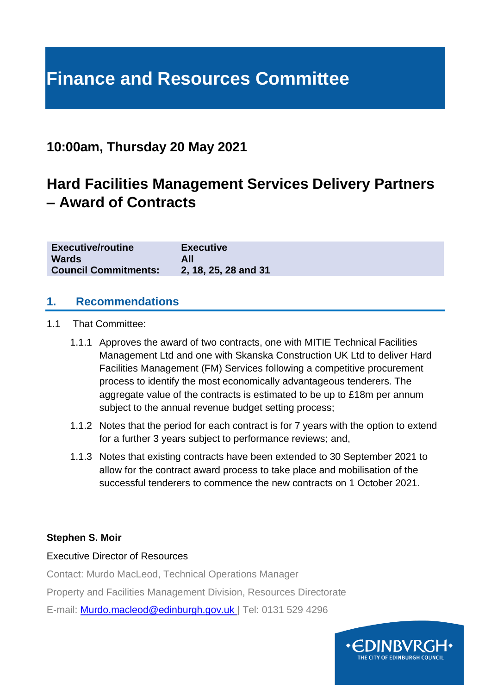# **Finance and Resources Committee**

### **10:00am, Thursday 20 May 2021**

## **Hard Facilities Management Services Delivery Partners – Award of Contracts**

| <b>Executive/routine</b>    | <b>Executive</b>     |
|-----------------------------|----------------------|
| <b>Wards</b>                | All                  |
| <b>Council Commitments:</b> | 2, 18, 25, 28 and 31 |

#### **1. Recommendations**

- 1.1 That Committee:
	- 1.1.1 Approves the award of two contracts, one with MITIE Technical Facilities Management Ltd and one with Skanska Construction UK Ltd to deliver Hard Facilities Management (FM) Services following a competitive procurement process to identify the most economically advantageous tenderers. The aggregate value of the contracts is estimated to be up to £18m per annum subject to the annual revenue budget setting process;
	- 1.1.2 Notes that the period for each contract is for 7 years with the option to extend for a further 3 years subject to performance reviews; and,
	- 1.1.3 Notes that existing contracts have been extended to 30 September 2021 to allow for the contract award process to take place and mobilisation of the successful tenderers to commence the new contracts on 1 October 2021.

#### **Stephen S. Moir**

#### Executive Director of Resources

Contact: Murdo MacLeod, Technical Operations Manager

Property and Facilities Management Division, Resources Directorate

E-mail: [Murdo.macleod@edinburgh.gov.uk](mailto:Murdo.macleod@edinburgh.gov.uk) | Tel: 0131 529 4296

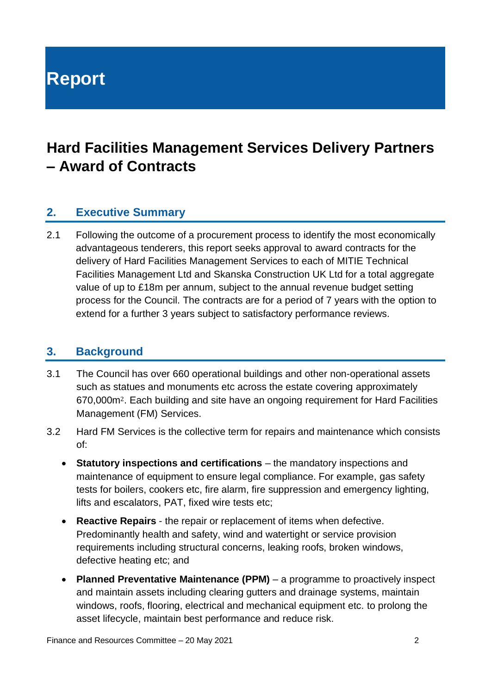**Report**

## **Hard Facilities Management Services Delivery Partners – Award of Contracts**

#### **2. Executive Summary**

2.1 Following the outcome of a procurement process to identify the most economically advantageous tenderers, this report seeks approval to award contracts for the delivery of Hard Facilities Management Services to each of MITIE Technical Facilities Management Ltd and Skanska Construction UK Ltd for a total aggregate value of up to £18m per annum, subject to the annual revenue budget setting process for the Council. The contracts are for a period of 7 years with the option to extend for a further 3 years subject to satisfactory performance reviews.

#### **3. Background**

- 3.1 The Council has over 660 operational buildings and other non-operational assets such as statues and monuments etc across the estate covering approximately 670,000m2. Each building and site have an ongoing requirement for Hard Facilities Management (FM) Services.
- 3.2 Hard FM Services is the collective term for repairs and maintenance which consists of:
	- **Statutory inspections and certifications** the mandatory inspections and maintenance of equipment to ensure legal compliance. For example, gas safety tests for boilers, cookers etc, fire alarm, fire suppression and emergency lighting, lifts and escalators, PAT, fixed wire tests etc;
	- **Reactive Repairs** the repair or replacement of items when defective. Predominantly health and safety, wind and watertight or service provision requirements including structural concerns, leaking roofs, broken windows, defective heating etc; and
	- **Planned Preventative Maintenance (PPM)** a programme to proactively inspect and maintain assets including clearing gutters and drainage systems, maintain windows, roofs, flooring, electrical and mechanical equipment etc. to prolong the asset lifecycle, maintain best performance and reduce risk.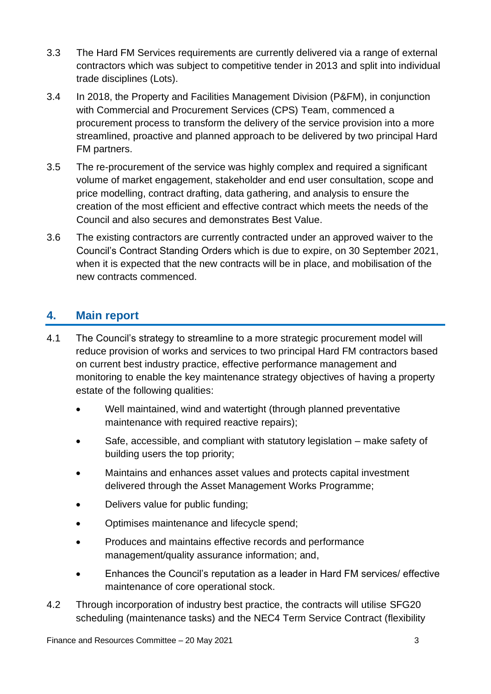- 3.3 The Hard FM Services requirements are currently delivered via a range of external contractors which was subject to competitive tender in 2013 and split into individual trade disciplines (Lots).
- 3.4 In 2018, the Property and Facilities Management Division (P&FM), in conjunction with Commercial and Procurement Services (CPS) Team, commenced a procurement process to transform the delivery of the service provision into a more streamlined, proactive and planned approach to be delivered by two principal Hard FM partners.
- 3.5 The re-procurement of the service was highly complex and required a significant volume of market engagement, stakeholder and end user consultation, scope and price modelling, contract drafting, data gathering, and analysis to ensure the creation of the most efficient and effective contract which meets the needs of the Council and also secures and demonstrates Best Value.
- 3.6 The existing contractors are currently contracted under an approved waiver to the Council's Contract Standing Orders which is due to expire, on 30 September 2021, when it is expected that the new contracts will be in place, and mobilisation of the new contracts commenced.

#### **4. Main report**

- 4.1 The Council's strategy to streamline to a more strategic procurement model will reduce provision of works and services to two principal Hard FM contractors based on current best industry practice, effective performance management and monitoring to enable the key maintenance strategy objectives of having a property estate of the following qualities:
	- Well maintained, wind and watertight (through planned preventative maintenance with required reactive repairs);
	- Safe, accessible, and compliant with statutory legislation make safety of building users the top priority;
	- Maintains and enhances asset values and protects capital investment delivered through the Asset Management Works Programme;
	- Delivers value for public funding;
	- Optimises maintenance and lifecycle spend;
	- Produces and maintains effective records and performance management/quality assurance information; and,
	- Enhances the Council's reputation as a leader in Hard FM services/ effective maintenance of core operational stock.
- 4.2 Through incorporation of industry best practice, the contracts will utilise SFG20 scheduling (maintenance tasks) and the NEC4 Term Service Contract (flexibility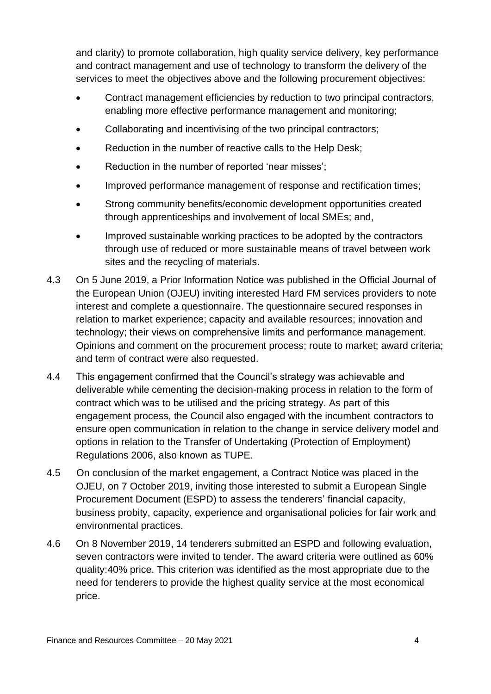and clarity) to promote collaboration, high quality service delivery, key performance and contract management and use of technology to transform the delivery of the services to meet the objectives above and the following procurement objectives:

- Contract management efficiencies by reduction to two principal contractors, enabling more effective performance management and monitoring;
- Collaborating and incentivising of the two principal contractors;
- Reduction in the number of reactive calls to the Help Desk;
- Reduction in the number of reported 'near misses';
- Improved performance management of response and rectification times:
- Strong community benefits/economic development opportunities created through apprenticeships and involvement of local SMEs; and,
- Improved sustainable working practices to be adopted by the contractors through use of reduced or more sustainable means of travel between work sites and the recycling of materials.
- 4.3 On 5 June 2019, a Prior Information Notice was published in the Official Journal of the European Union (OJEU) inviting interested Hard FM services providers to note interest and complete a questionnaire. The questionnaire secured responses in relation to market experience; capacity and available resources; innovation and technology; their views on comprehensive limits and performance management. Opinions and comment on the procurement process; route to market; award criteria; and term of contract were also requested.
- 4.4 This engagement confirmed that the Council's strategy was achievable and deliverable while cementing the decision-making process in relation to the form of contract which was to be utilised and the pricing strategy. As part of this engagement process, the Council also engaged with the incumbent contractors to ensure open communication in relation to the change in service delivery model and options in relation to the Transfer of Undertaking (Protection of Employment) Regulations 2006, also known as TUPE.
- 4.5 On conclusion of the market engagement, a Contract Notice was placed in the OJEU, on 7 October 2019, inviting those interested to submit a European Single Procurement Document (ESPD) to assess the tenderers' financial capacity, business probity, capacity, experience and organisational policies for fair work and environmental practices.
- 4.6 On 8 November 2019, 14 tenderers submitted an ESPD and following evaluation, seven contractors were invited to tender. The award criteria were outlined as 60% quality:40% price. This criterion was identified as the most appropriate due to the need for tenderers to provide the highest quality service at the most economical price.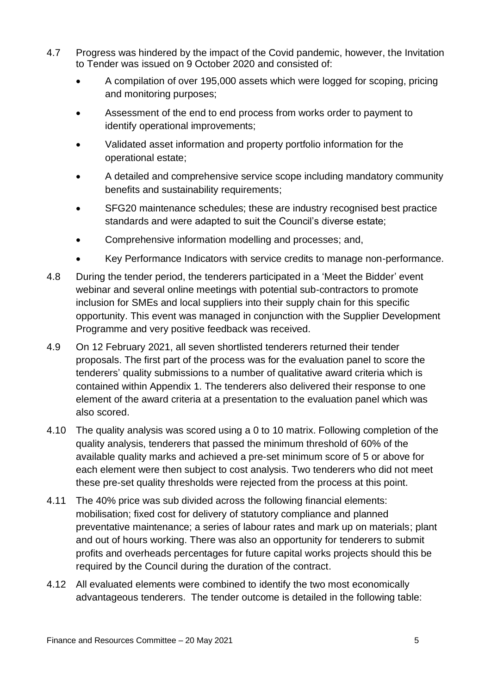- 4.7 Progress was hindered by the impact of the Covid pandemic, however, the Invitation to Tender was issued on 9 October 2020 and consisted of:
	- A compilation of over 195,000 assets which were logged for scoping, pricing and monitoring purposes;
	- Assessment of the end to end process from works order to payment to identify operational improvements;
	- Validated asset information and property portfolio information for the operational estate;
	- A detailed and comprehensive service scope including mandatory community benefits and sustainability requirements;
	- SFG20 maintenance schedules; these are industry recognised best practice standards and were adapted to suit the Council's diverse estate;
	- Comprehensive information modelling and processes; and,
	- Key Performance Indicators with service credits to manage non-performance.
- 4.8 During the tender period, the tenderers participated in a 'Meet the Bidder' event webinar and several online meetings with potential sub-contractors to promote inclusion for SMEs and local suppliers into their supply chain for this specific opportunity. This event was managed in conjunction with the Supplier Development Programme and very positive feedback was received.
- 4.9 On 12 February 2021, all seven shortlisted tenderers returned their tender proposals. The first part of the process was for the evaluation panel to score the tenderers' quality submissions to a number of qualitative award criteria which is contained within Appendix 1. The tenderers also delivered their response to one element of the award criteria at a presentation to the evaluation panel which was also scored.
- 4.10 The quality analysis was scored using a 0 to 10 matrix. Following completion of the quality analysis, tenderers that passed the minimum threshold of 60% of the available quality marks and achieved a pre-set minimum score of 5 or above for each element were then subject to cost analysis. Two tenderers who did not meet these pre-set quality thresholds were rejected from the process at this point.
- 4.11 The 40% price was sub divided across the following financial elements: mobilisation; fixed cost for delivery of statutory compliance and planned preventative maintenance; a series of labour rates and mark up on materials; plant and out of hours working. There was also an opportunity for tenderers to submit profits and overheads percentages for future capital works projects should this be required by the Council during the duration of the contract.
- 4.12 All evaluated elements were combined to identify the two most economically advantageous tenderers. The tender outcome is detailed in the following table: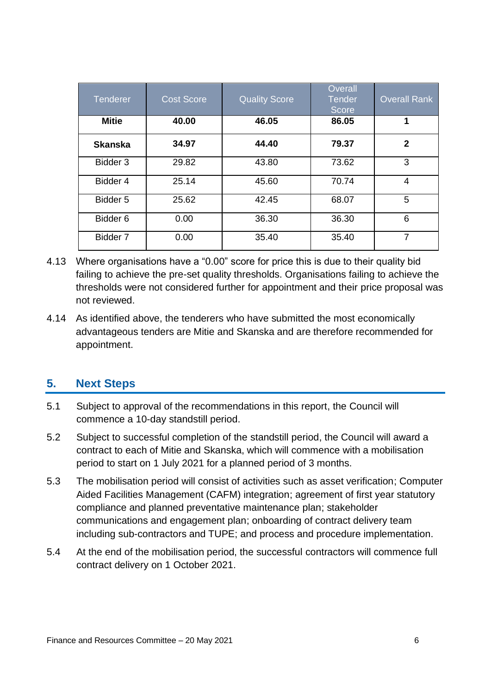| <b>Tenderer</b> | <b>Cost Score</b> | <b>Quality Score</b> | Overall<br><b>Tender</b><br><b>Score</b> | <b>Overall Rank</b> |
|-----------------|-------------------|----------------------|------------------------------------------|---------------------|
| <b>Mitie</b>    | 40.00             | 46.05                | 86.05                                    | 1                   |
| <b>Skanska</b>  | 34.97             | 44.40                | 79.37                                    | $\mathbf{2}$        |
| Bidder 3        | 29.82             | 43.80                | 73.62                                    | 3                   |
| Bidder 4        | 25.14             | 45.60                | 70.74                                    | 4                   |
| Bidder 5        | 25.62             | 42.45                | 68.07                                    | 5                   |
| Bidder 6        | 0.00              | 36.30                | 36.30                                    | 6                   |
| Bidder 7        | 0.00              | 35.40                | 35.40                                    | 7                   |

- 4.13 Where organisations have a "0.00" score for price this is due to their quality bid failing to achieve the pre-set quality thresholds. Organisations failing to achieve the thresholds were not considered further for appointment and their price proposal was not reviewed.
- 4.14 As identified above, the tenderers who have submitted the most economically advantageous tenders are Mitie and Skanska and are therefore recommended for appointment.

#### **5. Next Steps**

- 5.1 Subject to approval of the recommendations in this report, the Council will commence a 10-day standstill period.
- 5.2 Subject to successful completion of the standstill period, the Council will award a contract to each of Mitie and Skanska, which will commence with a mobilisation period to start on 1 July 2021 for a planned period of 3 months.
- 5.3 The mobilisation period will consist of activities such as asset verification; Computer Aided Facilities Management (CAFM) integration; agreement of first year statutory compliance and planned preventative maintenance plan; stakeholder communications and engagement plan; onboarding of contract delivery team including sub-contractors and TUPE; and process and procedure implementation.
- 5.4 At the end of the mobilisation period, the successful contractors will commence full contract delivery on 1 October 2021.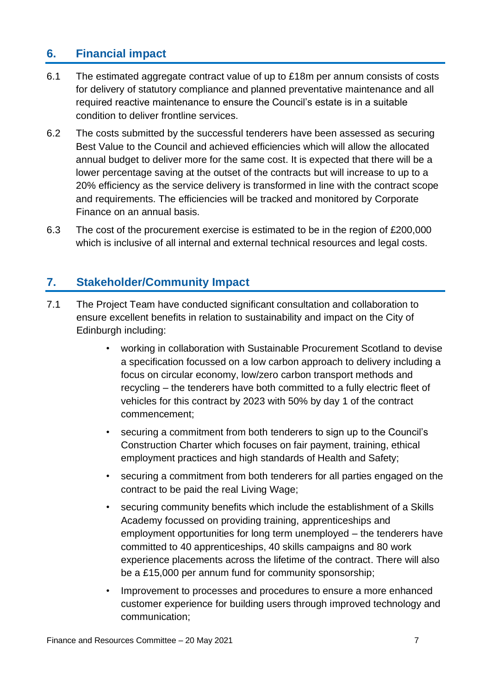#### **6. Financial impact**

- 6.1 The estimated aggregate contract value of up to £18m per annum consists of costs for delivery of statutory compliance and planned preventative maintenance and all required reactive maintenance to ensure the Council's estate is in a suitable condition to deliver frontline services.
- 6.2 The costs submitted by the successful tenderers have been assessed as securing Best Value to the Council and achieved efficiencies which will allow the allocated annual budget to deliver more for the same cost. It is expected that there will be a lower percentage saving at the outset of the contracts but will increase to up to a 20% efficiency as the service delivery is transformed in line with the contract scope and requirements. The efficiencies will be tracked and monitored by Corporate Finance on an annual basis.
- 6.3 The cost of the procurement exercise is estimated to be in the region of £200,000 which is inclusive of all internal and external technical resources and legal costs.

#### **7. Stakeholder/Community Impact**

- 7.1 The Project Team have conducted significant consultation and collaboration to ensure excellent benefits in relation to sustainability and impact on the City of Edinburgh including:
	- working in collaboration with Sustainable Procurement Scotland to devise a specification focussed on a low carbon approach to delivery including a focus on circular economy, low/zero carbon transport methods and recycling – the tenderers have both committed to a fully electric fleet of vehicles for this contract by 2023 with 50% by day 1 of the contract commencement;
	- securing a commitment from both tenderers to sign up to the Council's Construction Charter which focuses on fair payment, training, ethical employment practices and high standards of Health and Safety;
	- securing a commitment from both tenderers for all parties engaged on the contract to be paid the real Living Wage;
	- securing community benefits which include the establishment of a Skills Academy focussed on providing training, apprenticeships and employment opportunities for long term unemployed – the tenderers have committed to 40 apprenticeships, 40 skills campaigns and 80 work experience placements across the lifetime of the contract. There will also be a £15,000 per annum fund for community sponsorship;
	- Improvement to processes and procedures to ensure a more enhanced customer experience for building users through improved technology and communication;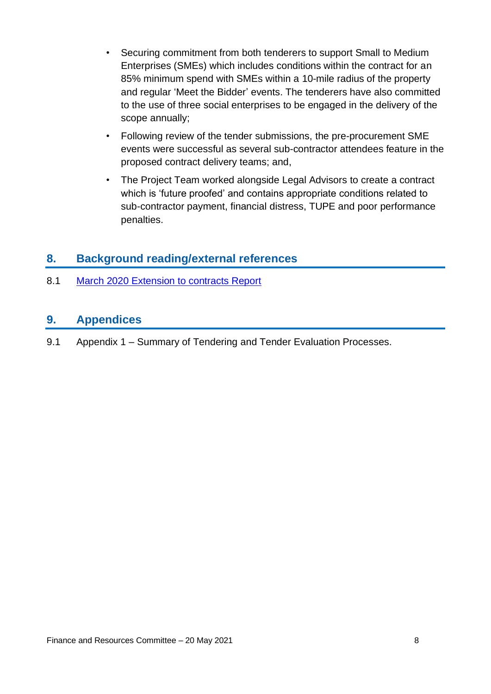- Securing commitment from both tenderers to support Small to Medium Enterprises (SMEs) which includes conditions within the contract for an 85% minimum spend with SMEs within a 10-mile radius of the property and regular 'Meet the Bidder' events. The tenderers have also committed to the use of three social enterprises to be engaged in the delivery of the scope annually;
- Following review of the tender submissions, the pre-procurement SME events were successful as several sub-contractor attendees feature in the proposed contract delivery teams; and,
- The Project Team worked alongside Legal Advisors to create a contract which is 'future proofed' and contains appropriate conditions related to sub-contractor payment, financial distress, TUPE and poor performance penalties.

#### **8. Background reading/external references**

8.1 [March 2020 Extension to contracts Report](https://democracy.edinburgh.gov.uk/documents/s14799/7.4%20-%20Extension%20to%20Repairs%20and%20Maintenance%20Contracts.pdf)

#### **9. Appendices**

9.1 Appendix 1 – Summary of Tendering and Tender Evaluation Processes.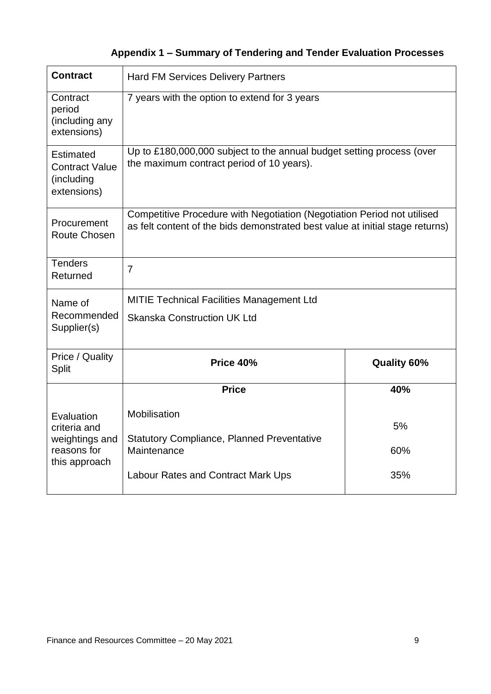### **Appendix 1 – Summary of Tendering and Tender Evaluation Processes**

| <b>Contract</b>                                                        | <b>Hard FM Services Delivery Partners</b>                                                                                                                |                    |  |
|------------------------------------------------------------------------|----------------------------------------------------------------------------------------------------------------------------------------------------------|--------------------|--|
| Contract<br>period<br>(including any<br>extensions)                    | 7 years with the option to extend for 3 years                                                                                                            |                    |  |
| <b>Estimated</b><br><b>Contract Value</b><br>(including<br>extensions) | Up to £180,000,000 subject to the annual budget setting process (over<br>the maximum contract period of 10 years).                                       |                    |  |
| Procurement<br>Route Chosen                                            | Competitive Procedure with Negotiation (Negotiation Period not utilised<br>as felt content of the bids demonstrated best value at initial stage returns) |                    |  |
| <b>Tenders</b><br>Returned                                             | $\overline{7}$                                                                                                                                           |                    |  |
| Name of                                                                | <b>MITIE Technical Facilities Management Ltd</b><br><b>Skanska Construction UK Ltd</b>                                                                   |                    |  |
| Recommended<br>Supplier(s)                                             |                                                                                                                                                          |                    |  |
| Price / Quality<br><b>Split</b>                                        | Price 40%                                                                                                                                                | <b>Quality 60%</b> |  |
|                                                                        | <b>Price</b>                                                                                                                                             | 40%                |  |
| Evaluation<br>criteria and<br>weightings and                           | Mobilisation<br><b>Statutory Compliance, Planned Preventative</b>                                                                                        | 5%                 |  |
| reasons for<br>this approach                                           | Maintenance                                                                                                                                              | 60%                |  |
|                                                                        | <b>Labour Rates and Contract Mark Ups</b>                                                                                                                | 35%                |  |